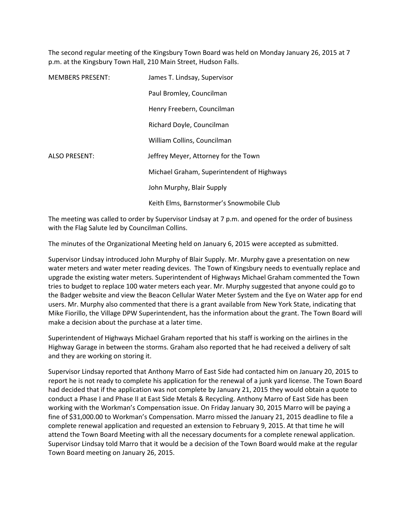The second regular meeting of the Kingsbury Town Board was held on Monday January 26, 2015 at 7 p.m. at the Kingsbury Town Hall, 210 Main Street, Hudson Falls.

| <b>MEMBERS PRESENT:</b> | James T. Lindsay, Supervisor               |
|-------------------------|--------------------------------------------|
|                         | Paul Bromley, Councilman                   |
|                         | Henry Freebern, Councilman                 |
|                         | Richard Doyle, Councilman                  |
|                         | William Collins, Councilman                |
| ALSO PRESENT:           | Jeffrey Meyer, Attorney for the Town       |
|                         | Michael Graham, Superintendent of Highways |
|                         | John Murphy, Blair Supply                  |
|                         | Keith Elms, Barnstormer's Snowmobile Club  |

The meeting was called to order by Supervisor Lindsay at 7 p.m. and opened for the order of business with the Flag Salute led by Councilman Collins.

The minutes of the Organizational Meeting held on January 6, 2015 were accepted as submitted.

Supervisor Lindsay introduced John Murphy of Blair Supply. Mr. Murphy gave a presentation on new water meters and water meter reading devices. The Town of Kingsbury needs to eventually replace and upgrade the existing water meters. Superintendent of Highways Michael Graham commented the Town tries to budget to replace 100 water meters each year. Mr. Murphy suggested that anyone could go to the Badger website and view the Beacon Cellular Water Meter System and the Eye on Water app for end users. Mr. Murphy also commented that there is a grant available from New York State, indicating that Mike Fiorillo, the Village DPW Superintendent, has the information about the grant. The Town Board will make a decision about the purchase at a later time.

Superintendent of Highways Michael Graham reported that his staff is working on the airlines in the Highway Garage in between the storms. Graham also reported that he had received a delivery of salt and they are working on storing it.

Supervisor Lindsay reported that Anthony Marro of East Side had contacted him on January 20, 2015 to report he is not ready to complete his application for the renewal of a junk yard license. The Town Board had decided that if the application was not complete by January 21, 2015 they would obtain a quote to conduct a Phase I and Phase II at East Side Metals & Recycling. Anthony Marro of East Side has been working with the Workman's Compensation issue. On Friday January 30, 2015 Marro will be paying a fine of \$31,000.00 to Workman's Compensation. Marro missed the January 21, 2015 deadline to file a complete renewal application and requested an extension to February 9, 2015. At that time he will attend the Town Board Meeting with all the necessary documents for a complete renewal application. Supervisor Lindsay told Marro that it would be a decision of the Town Board would make at the regular Town Board meeting on January 26, 2015.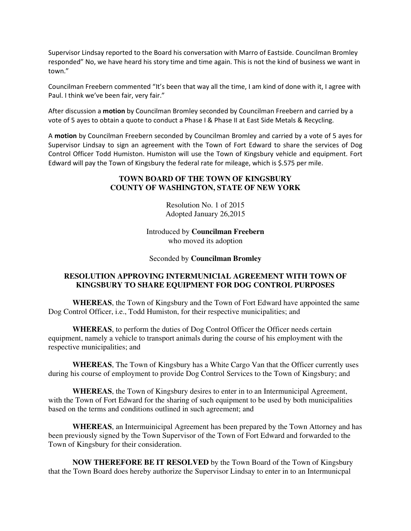Supervisor Lindsay reported to the Board his conversation with Marro of Eastside. Councilman Bromley responded" No, we have heard his story time and time again. This is not the kind of business we want in town."

Councilman Freebern commented "It's been that way all the time, I am kind of done with it, I agree with Paul. I think we've been fair, very fair."

After discussion a **motion** by Councilman Bromley seconded by Councilman Freebern and carried by a vote of 5 ayes to obtain a quote to conduct a Phase I & Phase II at East Side Metals & Recycling.

A **motion** by Councilman Freebern seconded by Councilman Bromley and carried by a vote of 5 ayes for Supervisor Lindsay to sign an agreement with the Town of Fort Edward to share the services of Dog Control Officer Todd Humiston. Humiston will use the Town of Kingsbury vehicle and equipment. Fort Edward will pay the Town of Kingsbury the federal rate for mileage, which is \$.575 per mile.

# **TOWN BOARD OF THE TOWN OF KINGSBURY COUNTY OF WASHINGTON, STATE OF NEW YORK**

Resolution No. 1 of 2015 Adopted January 26,2015

Introduced by **Councilman Freebern** who moved its adoption

Seconded by **Councilman Bromley**

# **RESOLUTION APPROVING INTERMUNICIAL AGREEMENT WITH TOWN OF KINGSBURY TO SHARE EQUIPMENT FOR DOG CONTROL PURPOSES**

 **WHEREAS**, the Town of Kingsbury and the Town of Fort Edward have appointed the same Dog Control Officer, i.e., Todd Humiston, for their respective municipalities; and

**WHEREAS**, to perform the duties of Dog Control Officer the Officer needs certain equipment, namely a vehicle to transport animals during the course of his employment with the respective municipalities; and

**WHEREAS**, The Town of Kingsbury has a White Cargo Van that the Officer currently uses during his course of employment to provide Dog Control Services to the Town of Kingsbury; and

**WHEREAS**, the Town of Kingsbury desires to enter in to an Intermunicipal Agreement, with the Town of Fort Edward for the sharing of such equipment to be used by both municipalities based on the terms and conditions outlined in such agreement; and

**WHEREAS**, an Intermuinicipal Agreement has been prepared by the Town Attorney and has been previously signed by the Town Supervisor of the Town of Fort Edward and forwarded to the Town of Kingsbury for their consideration.

 **NOW THEREFORE BE IT RESOLVED** by the Town Board of the Town of Kingsbury that the Town Board does hereby authorize the Supervisor Lindsay to enter in to an Intermunicpal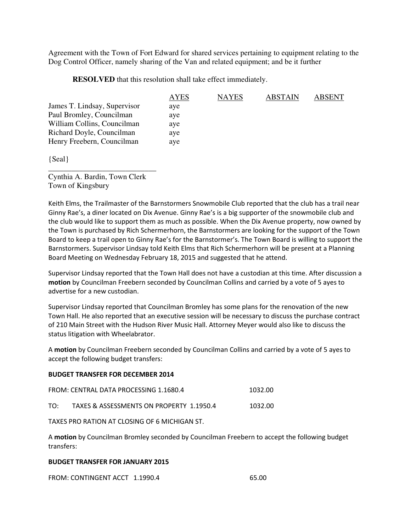Agreement with the Town of Fort Edward for shared services pertaining to equipment relating to the Dog Control Officer, namely sharing of the Van and related equipment; and be it further

**RESOLVED** that this resolution shall take effect immediately.

| <b>AYES</b> | <b>NAYES</b> | <b>ABSTAIN</b> | <b>ABSENT</b> |
|-------------|--------------|----------------|---------------|
| aye         |              |                |               |
| aye         |              |                |               |
| aye         |              |                |               |
| aye         |              |                |               |
| aye         |              |                |               |
|             |              |                |               |

{Seal}

Cynthia A. Bardin, Town Clerk Town of Kingsbury

\_\_\_\_\_\_\_\_\_\_\_\_\_\_\_\_\_\_\_\_\_\_\_\_\_\_\_\_

Keith Elms, the Trailmaster of the Barnstormers Snowmobile Club reported that the club has a trail near Ginny Rae's, a diner located on Dix Avenue. Ginny Rae's is a big supporter of the snowmobile club and the club would like to support them as much as possible. When the Dix Avenue property, now owned by the Town is purchased by Rich Schermerhorn, the Barnstormers are looking for the support of the Town Board to keep a trail open to Ginny Rae's for the Barnstormer's. The Town Board is willing to support the Barnstormers. Supervisor Lindsay told Keith Elms that Rich Schermerhorn will be present at a Planning Board Meeting on Wednesday February 18, 2015 and suggested that he attend.

Supervisor Lindsay reported that the Town Hall does not have a custodian at this time. After discussion a **motion** by Councilman Freebern seconded by Councilman Collins and carried by a vote of 5 ayes to advertise for a new custodian.

Supervisor Lindsay reported that Councilman Bromley has some plans for the renovation of the new Town Hall. He also reported that an executive session will be necessary to discuss the purchase contract of 210 Main Street with the Hudson River Music Hall. Attorney Meyer would also like to discuss the status litigation with Wheelabrator.

A **motion** by Councilman Freebern seconded by Councilman Collins and carried by a vote of 5 ayes to accept the following budget transfers:

#### **BUDGET TRANSFER FOR DECEMBER 2014**

| FROM: CENTRAL DATA PROCESSING 1.1680.4 | 1032.00 |
|----------------------------------------|---------|
|                                        |         |

TO: TAXES & ASSESSMENTS ON PROPERTY 1.1950.4 1032.00

TAXES PRO RATION AT CLOSING OF 6 MICHIGAN ST.

A **motion** by Councilman Bromley seconded by Councilman Freebern to accept the following budget transfers:

#### **BUDGET TRANSFER FOR JANUARY 2015**

FROM: CONTINGENT ACCT 1.1990.4 65.00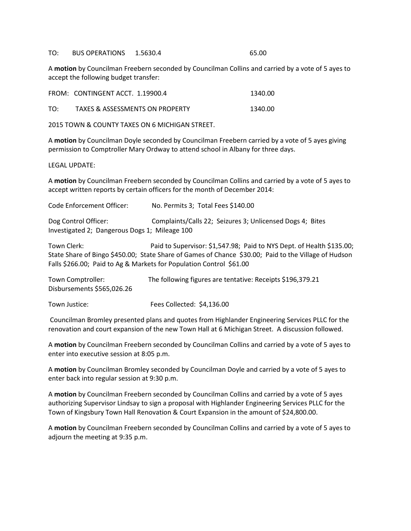TO: BUS OPERATIONS 1.5630.4 65.00

A **motion** by Councilman Freebern seconded by Councilman Collins and carried by a vote of 5 ayes to accept the following budget transfer:

|     | FROM: CONTINGENT ACCT. 1.19900.4 | 1340.00 |
|-----|----------------------------------|---------|
| TO: | TAXES & ASSESSMENTS ON PROPERTY  | 1340.00 |

2015 TOWN & COUNTY TAXES ON 6 MICHIGAN STREET.

A **motion** by Councilman Doyle seconded by Councilman Freebern carried by a vote of 5 ayes giving permission to Comptroller Mary Ordway to attend school in Albany for three days.

### LEGAL UPDATE:

A **motion** by Councilman Freebern seconded by Councilman Collins and carried by a vote of 5 ayes to accept written reports by certain officers for the month of December 2014:

Code Enforcement Officer: No. Permits 3; Total Fees \$140.00

Dog Control Officer: Complaints/Calls 22; Seizures 3; Unlicensed Dogs 4; Bites Investigated 2; Dangerous Dogs 1; Mileage 100

Town Clerk: Paid to Supervisor: \$1,547.98; Paid to NYS Dept. of Health \$135.00; State Share of Bingo \$450.00; State Share of Games of Chance \$30.00; Paid to the Village of Hudson Falls \$266.00; Paid to Ag & Markets for Population Control \$61.00

Town Comptroller: The following figures are tentative: Receipts \$196,379.21 Disbursements \$565,026.26

Town Justice: Fees Collected: \$4,136.00

 Councilman Bromley presented plans and quotes from Highlander Engineering Services PLLC for the renovation and court expansion of the new Town Hall at 6 Michigan Street. A discussion followed.

A **motion** by Councilman Freebern seconded by Councilman Collins and carried by a vote of 5 ayes to enter into executive session at 8:05 p.m.

A **motion** by Councilman Bromley seconded by Councilman Doyle and carried by a vote of 5 ayes to enter back into regular session at 9:30 p.m.

A **motion** by Councilman Freebern seconded by Councilman Collins and carried by a vote of 5 ayes authorizing Supervisor Lindsay to sign a proposal with Highlander Engineering Services PLLC for the Town of Kingsbury Town Hall Renovation & Court Expansion in the amount of \$24,800.00.

A **motion** by Councilman Freebern seconded by Councilman Collins and carried by a vote of 5 ayes to adjourn the meeting at 9:35 p.m.